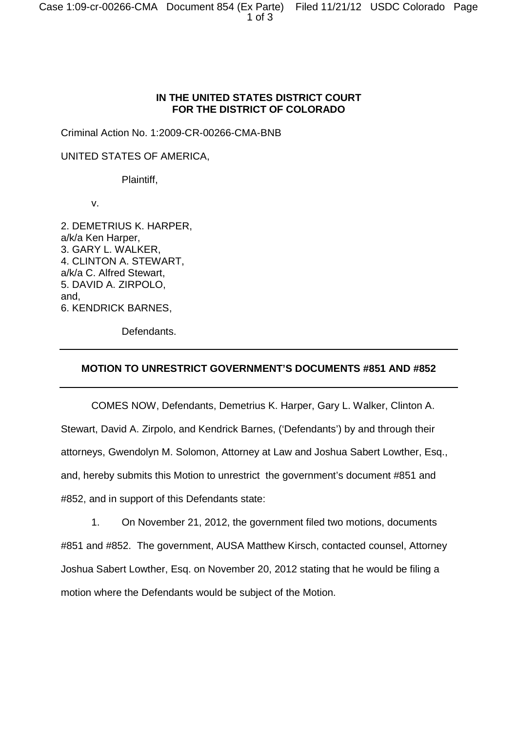## **IN THE UNITED STATES DISTRICT COURT FOR THE DISTRICT OF COLORADO**

Criminal Action No. 1:2009-CR-00266-CMA-BNB

UNITED STATES OF AMERICA,

Plaintiff,

v.

2. DEMETRIUS K. HARPER, a/k/a Ken Harper, 3. GARY L. WALKER, 4. CLINTON A. STEWART, a/k/a C. Alfred Stewart, 5. DAVID A. ZIRPOLO, and, 6. KENDRICK BARNES,

Defendants.

## **MOTION TO UNRESTRICT GOVERNMENT'S DOCUMENTS #851 AND #852**

COMES NOW, Defendants, Demetrius K. Harper, Gary L. Walker, Clinton A. Stewart, David A. Zirpolo, and Kendrick Barnes, ('Defendants') by and through their attorneys, Gwendolyn M. Solomon, Attorney at Law and Joshua Sabert Lowther, Esq., and, hereby submits this Motion to unrestrict the government's document #851 and #852, and in support of this Defendants state:

1. On November 21, 2012, the government filed two motions, documents #851 and #852. The government, AUSA Matthew Kirsch, contacted counsel, Attorney Joshua Sabert Lowther, Esq. on November 20, 2012 stating that he would be filing a motion where the Defendants would be subject of the Motion.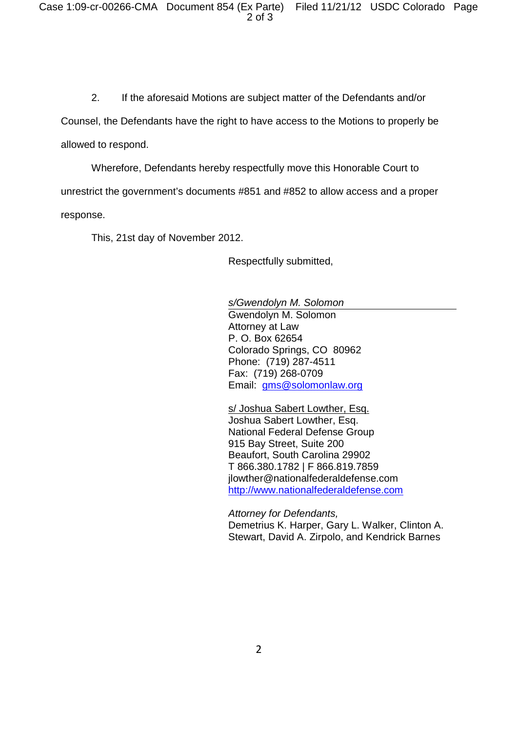2. If the aforesaid Motions are subject matter of the Defendants and/or

Counsel, the Defendants have the right to have access to the Motions to properly be

allowed to respond.

Wherefore, Defendants hereby respectfully move this Honorable Court to

unrestrict the government's documents #851 and #852 to allow access and a proper response.

This, 21st day of November 2012.

Respectfully submitted,

*s/Gwendolyn M. Solomon* Gwendolyn M. Solomon Attorney at Law P. O. Box 62654 Colorado Springs, CO 80962 Phone: (719) 287-4511 Fax: (719) 268-0709 Email: gms@solomonlaw.org

s/ Joshua Sabert Lowther, Esq. Joshua Sabert Lowther, Esq. National Federal Defense Group 915 Bay Street, Suite 200 Beaufort, South Carolina 29902 T 866.380.1782 | F 866.819.7859 jlowther@nationalfederaldefense.com http://www.nationalfederaldefense.com

*Attorney for Defendants,* Demetrius K. Harper, Gary L. Walker, Clinton A. Stewart, David A. Zirpolo, and Kendrick Barnes